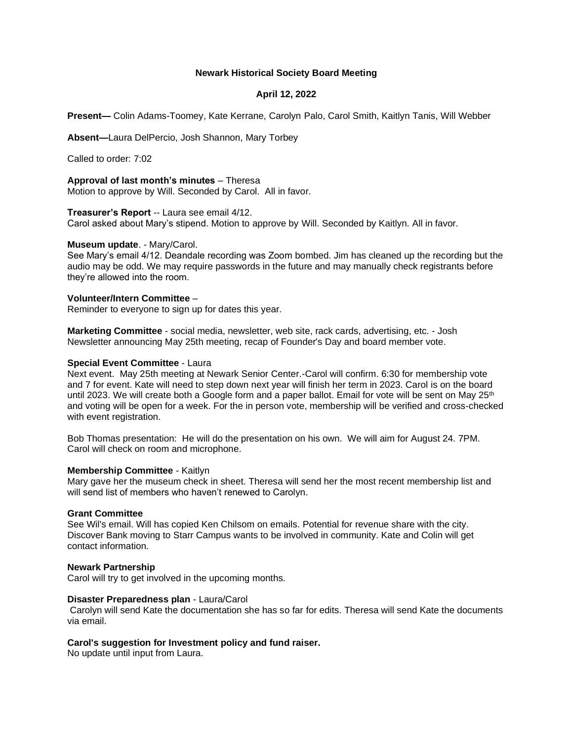## **Newark Historical Society Board Meeting**

# **April 12, 2022**

**Present—** Colin Adams-Toomey, Kate Kerrane, Carolyn Palo, Carol Smith, Kaitlyn Tanis, Will Webber

**Absent—**Laura DelPercio, Josh Shannon, Mary Torbey

Called to order: 7:02

**Approval of last month's minutes** – Theresa Motion to approve by Will. Seconded by Carol. All in favor.

### **Treasurer's Report** -- Laura see email 4/12.

Carol asked about Mary's stipend. Motion to approve by Will. Seconded by Kaitlyn. All in favor.

#### **Museum update**. - Mary/Carol.

See Mary's email 4/12. Deandale recording was Zoom bombed. Jim has cleaned up the recording but the audio may be odd. We may require passwords in the future and may manually check registrants before they're allowed into the room.

### **Volunteer/Intern Committee** –

Reminder to everyone to sign up for dates this year.

**Marketing Committee** - social media, newsletter, web site, rack cards, advertising, etc. - Josh Newsletter announcing May 25th meeting, recap of Founder's Day and board member vote.

# **Special Event Committee** - Laura

Next event. May 25th meeting at Newark Senior Center.-Carol will confirm. 6:30 for membership vote and 7 for event. Kate will need to step down next year will finish her term in 2023. Carol is on the board until 2023. We will create both a Google form and a paper ballot. Email for vote will be sent on May 25<sup>th</sup> and voting will be open for a week. For the in person vote, membership will be verified and cross-checked with event registration.

Bob Thomas presentation: He will do the presentation on his own. We will aim for August 24. 7PM. Carol will check on room and microphone.

#### **Membership Committee** - Kaitlyn

Mary gave her the museum check in sheet. Theresa will send her the most recent membership list and will send list of members who haven't renewed to Carolyn.

#### **Grant Committee**

See Wil's email. Will has copied Ken Chilsom on emails. Potential for revenue share with the city. Discover Bank moving to Starr Campus wants to be involved in community. Kate and Colin will get contact information.

#### **Newark Partnership**

Carol will try to get involved in the upcoming months.

#### **Disaster Preparedness plan** - Laura/Carol

Carolyn will send Kate the documentation she has so far for edits. Theresa will send Kate the documents via email.

# **Carol's suggestion for Investment policy and fund raiser.**

No update until input from Laura.